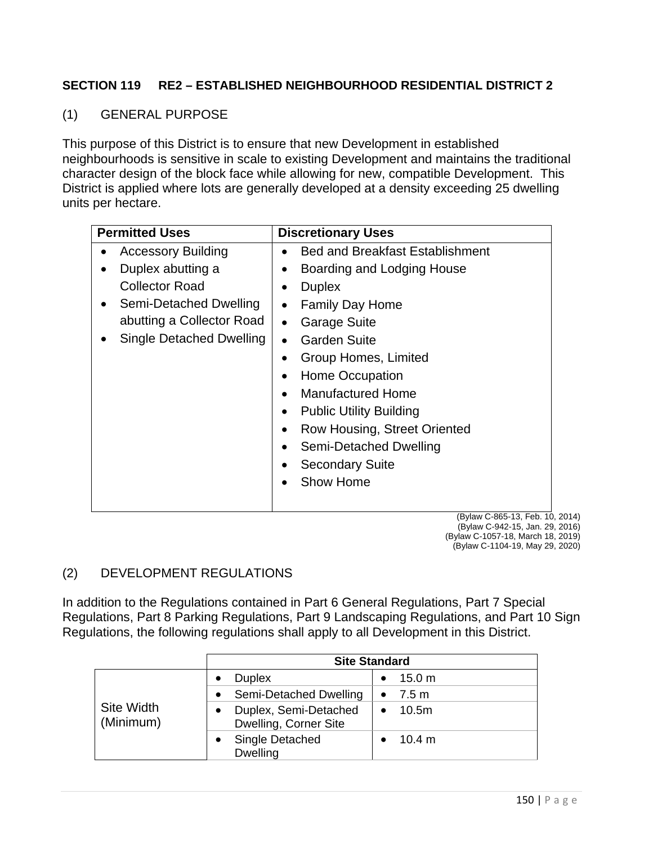## **SECTION 119 RE2 – ESTABLISHED NEIGHBOURHOOD RESIDENTIAL DISTRICT 2**

## (1) GENERAL PURPOSE

This purpose of this District is to ensure that new Development in established neighbourhoods is sensitive in scale to existing Development and maintains the traditional character design of the block face while allowing for new, compatible Development. This District is applied where lots are generally developed at a density exceeding 25 dwelling units per hectare.

| <b>Permitted Uses</b>           | <b>Discretionary Uses</b>                        |  |
|---------------------------------|--------------------------------------------------|--|
| <b>Accessory Building</b>       | <b>Bed and Breakfast Establishment</b>           |  |
| Duplex abutting a               | Boarding and Lodging House<br>٠                  |  |
| <b>Collector Road</b>           | <b>Duplex</b><br>$\bullet$                       |  |
| Semi-Detached Dwelling          | <b>Family Day Home</b><br>$\bullet$              |  |
| abutting a Collector Road       | <b>Garage Suite</b>                              |  |
| <b>Single Detached Dwelling</b> | <b>Garden Suite</b><br>$\bullet$                 |  |
|                                 | Group Homes, Limited<br>$\bullet$                |  |
|                                 | Home Occupation                                  |  |
|                                 | <b>Manufactured Home</b>                         |  |
|                                 | <b>Public Utility Building</b><br>$\bullet$      |  |
|                                 | <b>Row Housing, Street Oriented</b><br>$\bullet$ |  |
|                                 | Semi-Detached Dwelling<br>$\bullet$              |  |
|                                 | <b>Secondary Suite</b>                           |  |
|                                 | <b>Show Home</b>                                 |  |
|                                 |                                                  |  |
|                                 | $\sim$<br>$0.005107 \pm 0.0001$                  |  |

(Bylaw C-865-13, Feb. 10, 2014) (Bylaw C-942-15, Jan. 29, 2016) (Bylaw C-1057-18, March 18, 2019) (Bylaw C-1104-19, May 29, 2020)

## (2) DEVELOPMENT REGULATIONS

In addition to the Regulations contained in Part 6 General Regulations, Part 7 Special Regulations, Part 8 Parking Regulations, Part 9 Landscaping Regulations, and Part 10 Sign Regulations, the following regulations shall apply to all Development in this District.

|                         | <b>Site Standard</b>                           |                    |
|-------------------------|------------------------------------------------|--------------------|
| Site Width<br>(Minimum) | <b>Duplex</b>                                  | 15.0 m             |
|                         | Semi-Detached Dwelling                         | 7.5 m<br>$\bullet$ |
|                         | Duplex, Semi-Detached<br>Dwelling, Corner Site | 10.5m              |
|                         | Single Detached<br><b>Dwelling</b>             | 10.4 m             |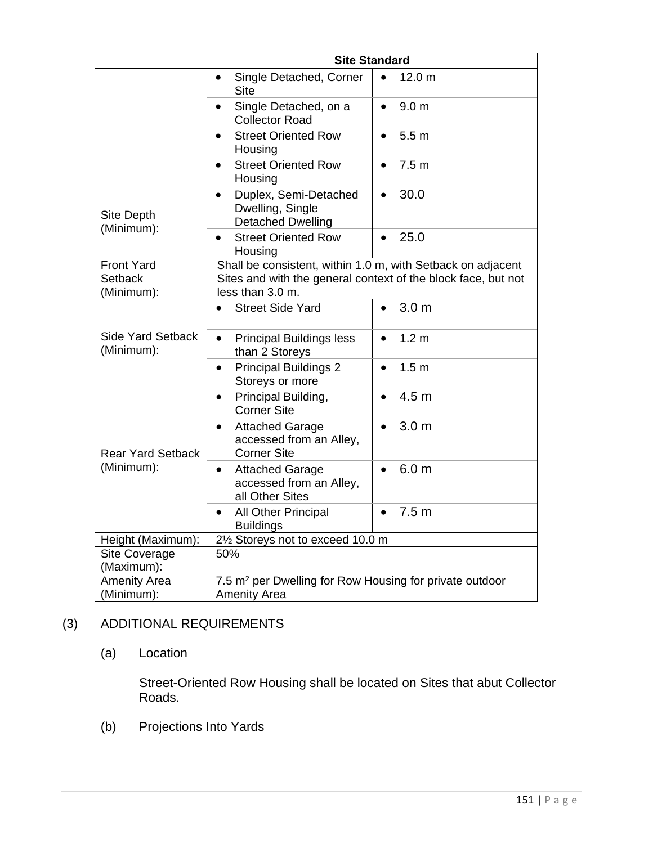|                                                   | <b>Site Standard</b>                                                                                                                             |                                |  |
|---------------------------------------------------|--------------------------------------------------------------------------------------------------------------------------------------------------|--------------------------------|--|
|                                                   | Single Detached, Corner<br>$\bullet$<br><b>Site</b>                                                                                              | 12.0 <sub>m</sub><br>$\bullet$ |  |
|                                                   | Single Detached, on a<br>$\bullet$<br><b>Collector Road</b>                                                                                      | 9.0 <sub>m</sub><br>$\bullet$  |  |
|                                                   | <b>Street Oriented Row</b><br>$\bullet$<br>Housing                                                                                               | 5.5 <sub>m</sub>               |  |
|                                                   | <b>Street Oriented Row</b><br>$\bullet$<br>Housing                                                                                               | 7.5 <sub>m</sub><br>$\bullet$  |  |
| Site Depth<br>(Minimum):                          | Duplex, Semi-Detached<br>$\bullet$<br>Dwelling, Single<br><b>Detached Dwelling</b>                                                               | 30.0                           |  |
|                                                   | <b>Street Oriented Row</b><br>$\bullet$<br>Housing                                                                                               | 25.0                           |  |
| <b>Front Yard</b><br><b>Setback</b><br>(Minimum): | Shall be consistent, within 1.0 m, with Setback on adjacent<br>Sites and with the general context of the block face, but not<br>less than 3.0 m. |                                |  |
| <b>Side Yard Setback</b><br>(Minimum):            | <b>Street Side Yard</b><br>$\bullet$                                                                                                             | 3.0 <sub>m</sub><br>$\bullet$  |  |
|                                                   | <b>Principal Buildings less</b><br>$\bullet$<br>than 2 Storeys                                                                                   | 1.2 <sub>m</sub><br>$\bullet$  |  |
|                                                   | <b>Principal Buildings 2</b><br>$\bullet$<br>Storeys or more                                                                                     | 1.5 <sub>m</sub><br>$\bullet$  |  |
| <b>Rear Yard Setback</b><br>(Minimum):            | Principal Building,<br>$\bullet$<br><b>Corner Site</b>                                                                                           | 4.5 <sub>m</sub>               |  |
|                                                   | <b>Attached Garage</b><br>$\bullet$<br>accessed from an Alley,<br><b>Corner Site</b>                                                             | 3.0 <sub>m</sub>               |  |
|                                                   | <b>Attached Garage</b><br>$\bullet$<br>accessed from an Alley,<br>all Other Sites                                                                | 6.0 <sub>m</sub><br>$\bullet$  |  |
|                                                   | All Other Principal<br>$\bullet$<br><b>Buildings</b>                                                                                             | 7.5 <sub>m</sub><br>$\bullet$  |  |
| Height (Maximum):                                 | 21/2 Storeys not to exceed 10.0 m                                                                                                                |                                |  |
| Site Coverage<br>(Maximum):                       | 50%                                                                                                                                              |                                |  |
| <b>Amenity Area</b><br>(Minimum):                 | 7.5 m <sup>2</sup> per Dwelling for Row Housing for private outdoor<br><b>Amenity Area</b>                                                       |                                |  |

## (3) ADDITIONAL REQUIREMENTS

(a) Location

Street-Oriented Row Housing shall be located on Sites that abut Collector Roads.

(b) Projections Into Yards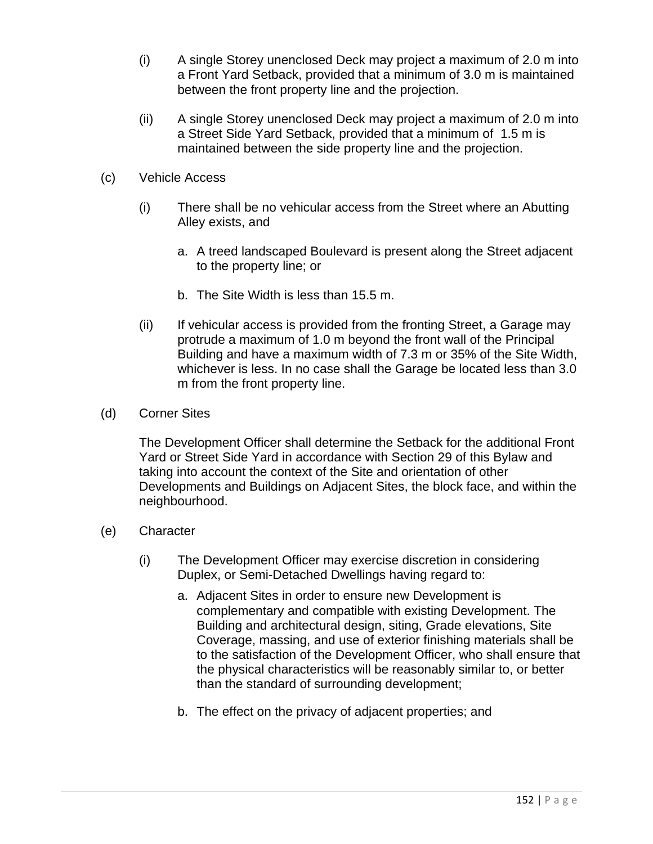- (i) A single Storey unenclosed Deck may project a maximum of 2.0 m into a Front Yard Setback, provided that a minimum of 3.0 m is maintained between the front property line and the projection.
- (ii) A single Storey unenclosed Deck may project a maximum of 2.0 m into a Street Side Yard Setback, provided that a minimum of 1.5 m is maintained between the side property line and the projection.
- (c) Vehicle Access
	- (i) There shall be no vehicular access from the Street where an Abutting Alley exists, and
		- a. A treed landscaped Boulevard is present along the Street adjacent to the property line; or
		- b. The Site Width is less than 15.5 m.
	- (ii) If vehicular access is provided from the fronting Street, a Garage may protrude a maximum of 1.0 m beyond the front wall of the Principal Building and have a maximum width of 7.3 m or 35% of the Site Width, whichever is less. In no case shall the Garage be located less than 3.0 m from the front property line.
- (d) Corner Sites

The Development Officer shall determine the Setback for the additional Front Yard or Street Side Yard in accordance with Section 29 of this Bylaw and taking into account the context of the Site and orientation of other Developments and Buildings on Adjacent Sites, the block face, and within the neighbourhood.

- (e) Character
	- (i) The Development Officer may exercise discretion in considering Duplex, or Semi-Detached Dwellings having regard to:
		- a. Adjacent Sites in order to ensure new Development is complementary and compatible with existing Development. The Building and architectural design, siting, Grade elevations, Site Coverage, massing, and use of exterior finishing materials shall be to the satisfaction of the Development Officer, who shall ensure that the physical characteristics will be reasonably similar to, or better than the standard of surrounding development;
		- b. The effect on the privacy of adjacent properties; and